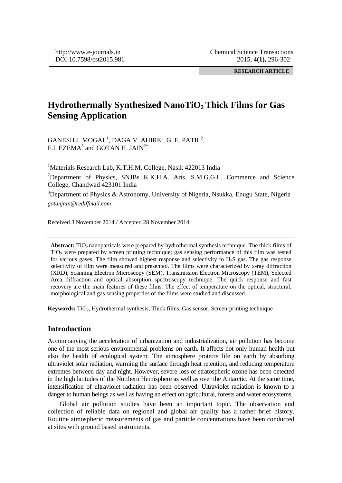**RESEARCH ARTICLE** 

# **Hydrothermally Synthesized NanoTiO2 Thick Films for Gas Sensing Application**

 $GANESH$  J.  $MOGAL^1$ ,  $DAGA$  V.  $AHIRE^1$ , G. E.  $PATH^2$ , F.I. EZEMA $^3$  and GOTAN H. JAIN<sup>2\*</sup>

<sup>1</sup>Materials Research Lab, K.T.H.M. College, Nasik 422013 India<br><sup>2</sup>Department of Physics SNIBs KKHA Arts SMGGL

<sup>2</sup>Department of Physics, SNJBs K.K.H.A. Arts, S.M.G.G.L. Commerce and Science College, Chandwad 423101 India

 $3$ Department of Physics & Astronomy, University of Nigeria, Nsukka, Enugu State, Nigeria *gotanjain@rediffmail.com* 

Received 3 November 2014 / Accepted 28 November 2014

**Abstract:** TiO<sub>2</sub> nanoparticals were prepared by hydrothermal synthesis technique. The thick films of TiO2 were prepared by screen printing technique; gas sensing performance of this film was tested for various gases. The film showed highest response and selectivity to H2S gas. The gas response selectivity of film were measured and presented. The films were characterized by x-ray diffraction (XRD), Scanning Electron Microscopy (SEM), Transmission Electron Microscopy (TEM), Selected Area diffraction and optical absorption spectroscopy technique. The quick response and fast recovery are the main features of these films. The effect of temperature on the optical, structural, morphological and gas sensing properties of the films were studied and discussed.

**Keywords:** TiO<sub>2</sub>, Hydrothermal synthesis, Thick films, Gas sensor, Screen-printing technique

# **Introduction**

Accompanying the acceleration of urbanization and industrialization, air pollution has become one of the most serious environmental problems on earth. It affects not only human health but also the health of ecological system. The atmosphere protects life on earth by absorbing ultraviolet solar radiation, warming the surface through heat retention, and reducing temperature extremes between day and night. However, severe loss of stratospheric ozone has been detected in the high latitudes of the Northern Hemisphere as well as over the Antarctic. At the same time, intensification of ultraviolet radiation has been observed. Ultraviolet radiation is known to a danger to human beings as well as having an effect on agricultural, forests and water ecosystems.

 Global air pollution studies have been an important topic. The observation and collection of reliable data on regional and global air quality has a rather brief history. Routine atmospheric measurements of gas and particle concentrations have been conducted at sites with ground based instruments.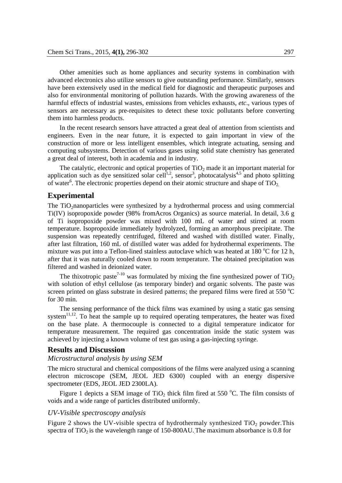Other amenities such as home appliances and security systems in combination with advanced electronics also utilize sensors to give outstanding performance. Similarly, sensors have been extensively used in the medical field for diagnostic and therapeutic purposes and also for environmental monitoring of pollution hazards. With the growing awareness of the harmful effects of industrial wastes, emissions from vehicles exhausts, *etc*., various types of sensors are necessary as pre-requisites to detect these toxic pollutants before converting them into harmless products.

 In the recent research sensors have attracted a great deal of attention from scientists and engineers. Even in the near future, it is expected to gain important in view of the construction of more or less intelligent ensembles, which integrate actuating, sensing and computing subsystems. Detection of various gases using solid state chemistry has generated a great deal of interest, both in academia and in industry.

The catalytic, electronic and optical properties of  $TiO<sub>2</sub>$  made it an important material for application such as dye sensitized solar cell<sup>1,2</sup>, sensor<sup>3</sup>, photocatalysis<sup>4,5</sup> and photo splitting of water<sup>6</sup>. The electronic properties depend on their atomic structure and shape of  $TiO<sub>2</sub>$ .

## **Experimental**

The TiO2nanoparticles were synthesized by a hydrothermal process and using commercial Ti(IV) isopropoxide powder (98% fromAcros Organics) as source material. In detail, 3.6 g of Ti isopropoxide powder was mixed with 100 mL of water and stirred at room temperature. Isopropoxide immediately hydrolyzed, forming an amorphous precipitate. The suspension was repeatedly centrifuged, filtered and washed with distilled water. Finally, after last filtration, 160 mL of distilled water was added for hydrothermal experiments. The mixture was put into a Teflon-lined stainless autoclave which was heated at  $180^{\circ}$ C for 12 h, after that it was naturally cooled down to room temperature. The obtained precipitation was filtered and washed in deionized water.

The thixotropic paste<sup>7-10</sup> was formulated by mixing the fine synthesized power of  $TiO<sub>2</sub>$ with solution of ethyl cellulose (as temporary binder) and organic solvents. The paste was screen printed on glass substrate in desired patterns; the prepared films were fired at 550  $^{\circ}$ C for 30 min.

 The sensing performance of the thick films was examined by using a static gas sensing system $11,12$ . To heat the sample up to required operating temperatures, the heater was fixed on the base plate. A thermocouple is connected to a digital temperature indicator for temperature measurement. The required gas concentration inside the static system was achieved by injecting a known volume of test gas using a gas-injecting syringe.

#### **Results and Discussion**

#### *Microstructural analysis by using SEM*

The micro structural and chemical compositions of the films were analyzed using a scanning electron microscope (SEM, JEOL JED 6300) coupled with an energy dispersive spectrometer (EDS, JEOL JED 2300LA).

Figure 1 depicts a SEM image of TiO<sub>2</sub> thick film fired at 550 °C. The film consists of voids and a wide range of particles distributed uniformly.

#### *UV-Visible spectroscopy analysis*

Figure 2 shows the UV-visible spectra of hydrothermaly synthesized  $TiO<sub>2</sub>$  powder. This spectra of  $TiO<sub>2</sub>$  is the wavelength range of 150-800AU. The maximum absorbance is 0.8 for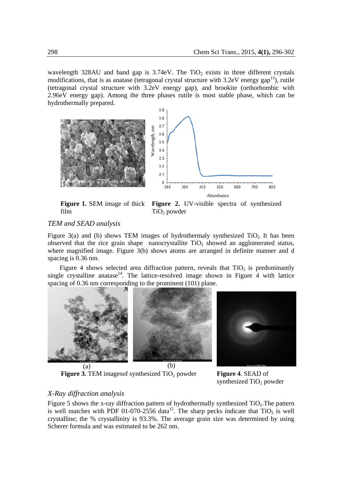wavelength 328AU and band gap is  $3.74 \text{eV}$ . The TiO<sub>2</sub> exists in three different crystals modifications, that is as anatase (tetragonal crystal structure with  $3.2 \text{eV}$  energy gap<sup>13</sup>), rutile (tetragonal crystal structure with 3.2eV energy gap), and brookite (orthorhombic with 2.96eV energy gap). Among the three phases rutile is most stable phase, which can be hydrothermally prepared.





**Figure 1.** SEM image of thick film

**Figure 2.** UV-visible spectra of synthesized  $TiO<sub>2</sub>$  powder

# *TEM and SEAD analysis*

Figure 3(a) and (b) shows TEM images of hydrothermaly synthesized  $TiO<sub>2</sub>$ . It has been observed that the rice grain shape nanocrystallite  $TiO<sub>2</sub>$  showed an agglomerated status, where magnified image. Figure 3(b) shows atoms are arranged in definite manner and d spacing is 0.36 nm.

Figure 4 shows selected area diffraction pattern, reveals that  $TiO<sub>2</sub>$  is predominantly single crystalline anatase<sup>14</sup>. The lattice-resolved image shown in Figure 4 with lattice spacing of 0.36 nm corresponding to the prominent (101) plane.



**Figure 3.** TEM images of synthesized TiO<sub>2</sub> powder **Figure 4**. SEAD of



synthesized  $TiO<sub>2</sub>$  powder

# *X-Ray diffraction analysis*

Figure 5 shows the x-ray diffraction pattern of hydrothermally synthesized  $TiO<sub>2</sub>$ . The pattern is well matches with PDF 01-070-2556 data<sup>15</sup>. The sharp pecks indicate that  $TiO<sub>2</sub>$  is well crystalline; the % crystallinity is 93.3%. The average grain size was determined by using Scherer formula and was estimated to be 262 nm.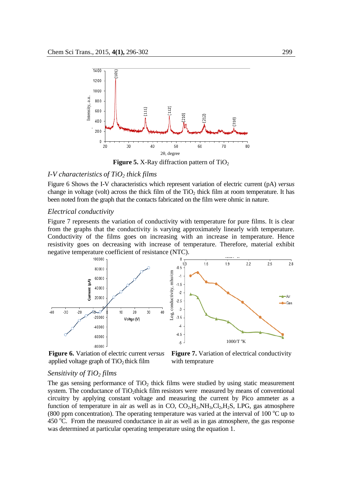

**Figure 5.** X-Ray diffraction pattern of  $TiO<sub>2</sub>$ 

# *I-V characteristics of TiO<sub>2</sub> thick films*

Figure 6 Shows the I-V characteristics which represent variation of electric current (pA) *versus* change in voltage (volt) across the thick film of the  $TiO<sub>2</sub>$  thick film at room temperature. It has been noted from the graph that the contacts fabricated on the film were ohmic in nature.

## *Electrical conductivity*

Figure 7 represents the variation of conductivity with temperature for pure films. It is clear from the graphs that the conductivity is varying approximately linearly with temperature. Conductivity of the films goes on increasing with an increase in temperature. Hence resistivity goes on decreasing with increase of temperature. Therefore, material exhibit negative temperature coefficient of resistance (NTC).



**Figure 6.** Variation of electric current *versus* applied voltage graph of  $TiO<sub>2</sub>$  thick film

**Figure 7.** Variation of electrical conductivity with temprature

#### *Sensitivity of TiO2 films*

The gas sensing performance of  $TiO<sub>2</sub>$  thick films were studied by using static measurement system. The conductance of TiO<sub>2</sub>thick film resistors were measured by means of conventional circuitry by applying constant voltage and measuring the current by Pico ammeter as a function of temperature in air as well as in CO,  $CO<sub>2</sub>,H<sub>2</sub>,NH<sub>3</sub>,Cl<sub>2</sub>,H<sub>2</sub>S$ , LPG, gas atmosphere (800 ppm concentration). The operating temperature was varied at the interval of 100  $^{\circ}$ C up to  $450 \degree$ C. From the measured conductance in air as well as in gas atmosphere, the gas response was determined at particular operating temperature using the equation 1.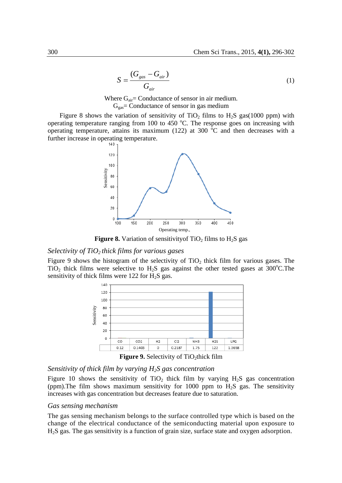$$
S = \frac{(G_{gas} - G_{air})}{G_{air}}
$$
 (1)

Where  $G_{air}$  = Conductance of sensor in air medium.  $G_{gas}$ = Conductance of sensor in gas medium

Figure 8 shows the variation of sensitivity of TiO<sub>2</sub> films to  $H_2S$  gas(1000 ppm) with operating temperature ranging from 100 to 450  $^{\circ}$ C. The response goes on increasing with operating temperature, attains its maximum (122) at 300 $\degree$ C and then decreases with a further increase in operating temperature.



**Figure 8.** Variation of sensitivity of TiO<sub>2</sub> films to  $H_2S$  gas

#### *Selectivity of TiO2 thick films for various gases*

Figure 9 shows the histogram of the selectivity of  $TiO<sub>2</sub>$  thick film for various gases. The TiO<sub>2</sub> thick films were selective to H<sub>2</sub>S gas against the other tested gases at  $300^{\circ}$ C. The sensitivity of thick films were  $122$  for  $H<sub>2</sub>S$  gas.



Figure 9. Selectivity of TiO<sub>2</sub>thick film

#### *Sensitivity of thick film by varying H2S gas concentration*

Figure 10 shows the sensitivity of  $TiO<sub>2</sub>$  thick film by varying  $H<sub>2</sub>S$  gas concentration (ppm). The film shows maximum sensitivity for 1000 ppm to  $H_2S$  gas. The sensitivity increases with gas concentration but decreases feature due to saturation.

#### *Gas sensing mechanism*

The gas sensing mechanism belongs to the surface controlled type which is based on the change of the electrical conductance of the semiconducting material upon exposure to H2S gas. The gas sensitivity is a function of grain size, surface state and oxygen adsorption.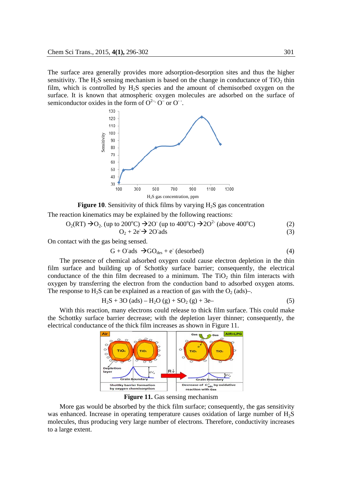The surface area generally provides more adsorption-desorption sites and thus the higher sensitivity. The  $H_2S$  sensing mechanism is based on the change in conductance of  $TiO<sub>2</sub>$  thin film, which is controlled by  $H_2S$  species and the amount of chemisorbed oxygen on the surface. It is known that atmospheric oxygen molecules are adsorbed on the surface of semiconductor oxides in the form of  $O^{2-}$ ,  $O^{-}$  or  $O^{-}$ .

![](_page_5_Figure_2.jpeg)

**Figure 10.** Sensitivity of thick films by varying  $H_2S$  gas concentration The reaction kinematics may be explained by the following reactions:

$$
O2(RT) \rightarrow O2. (up to 200°C) \rightarrow 2O- (up to 400°C) \rightarrow 2O2 (above 400°C)
$$
  
\n
$$
O2 + 2e- \rightarrow 2O-ads
$$
\n(3)

On contact with the gas being sensed.

$$
G + O'ads \ \rightarrow GO_{des} + e^{c} (desorbed) \tag{4}
$$

 The presence of chemical adsorbed oxygen could cause electron depletion in the thin film surface and building up of Schottky surface barrier; consequently, the electrical conductance of the thin film decreased to a minimum. The  $TiO<sub>2</sub>$  thin film interacts with oxygen by transferring the electron from the conduction band to adsorbed oxygen atoms. The response to  $H_2S$  can be explained as a reaction of gas with the  $O_2$  (ads)-.

$$
H_2S + 3O (ads) - H_2O (g) + SO_2 (g) + 3e -
$$
 (5)

 With this reaction, many electrons could release to thick film surface. This could make the Schottky surface barrier decrease; with the depletion layer thinner; consequently, the electrical conductance of the thick film increases as shown in Figure 11.

![](_page_5_Figure_10.jpeg)

**Figure 11.** Gas sensing mechanism

 More gas would be absorbed by the thick film surface; consequently, the gas sensitivity was enhanced. Increase in operating temperature causes oxidation of large number of H<sub>2</sub>S molecules, thus producing very large number of electrons. Therefore, conductivity increases to a large extent.